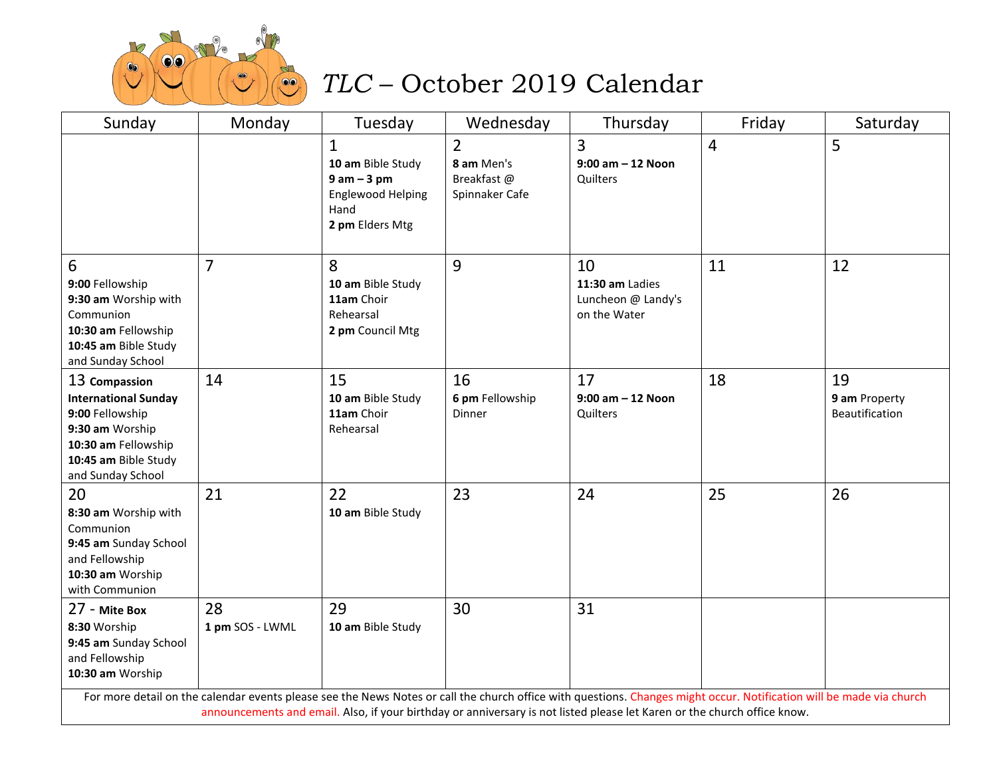

# *TLC* – October 2019 Calendar

| Sunday                                                                                                                                                                                                                                                                                           | Monday                | Tuesday                                                                                                 | Wednesday                                                    | Thursday                                                    | Friday         | Saturday                                     |
|--------------------------------------------------------------------------------------------------------------------------------------------------------------------------------------------------------------------------------------------------------------------------------------------------|-----------------------|---------------------------------------------------------------------------------------------------------|--------------------------------------------------------------|-------------------------------------------------------------|----------------|----------------------------------------------|
|                                                                                                                                                                                                                                                                                                  |                       | $\mathbf{1}$<br>10 am Bible Study<br>$9am - 3pm$<br><b>Englewood Helping</b><br>Hand<br>2 pm Elders Mtg | $\overline{2}$<br>8 am Men's<br>Breakfast@<br>Spinnaker Cafe | 3<br>$9:00$ am $-12$ Noon<br>Quilters                       | $\overline{4}$ | 5                                            |
| 6<br>9:00 Fellowship<br>9:30 am Worship with<br>Communion<br>10:30 am Fellowship<br>10:45 am Bible Study<br>and Sunday School                                                                                                                                                                    | $\overline{7}$        | 8<br>10 am Bible Study<br>11am Choir<br>Rehearsal<br>2 pm Council Mtg                                   | 9                                                            | 10<br>11:30 am Ladies<br>Luncheon @ Landy's<br>on the Water | 11             | 12                                           |
| 13 Compassion<br><b>International Sunday</b><br>9:00 Fellowship<br>9:30 am Worship<br>10:30 am Fellowship<br>10:45 am Bible Study<br>and Sunday School                                                                                                                                           | 14                    | 15<br>10 am Bible Study<br>11am Choir<br>Rehearsal                                                      | 16<br>6 pm Fellowship<br>Dinner                              | 17<br>$9:00$ am $-12$ Noon<br>Quilters                      | 18             | 19<br>9 am Property<br><b>Beautification</b> |
| 20<br>8:30 am Worship with<br>Communion<br>9:45 am Sunday School<br>and Fellowship<br>10:30 am Worship<br>with Communion                                                                                                                                                                         | 21                    | 22<br>10 am Bible Study                                                                                 | 23                                                           | 24                                                          | 25             | 26                                           |
| 27 - Mite Box<br>8:30 Worship<br>9:45 am Sunday School<br>and Fellowship<br>10:30 am Worship                                                                                                                                                                                                     | 28<br>1 pm SOS - LWML | 29<br>10 am Bible Study                                                                                 | 30                                                           | 31                                                          |                |                                              |
| For more detail on the calendar events please see the News Notes or call the church office with questions. Changes might occur. Notification will be made via church<br>announcements and email. Also, if your birthday or anniversary is not listed please let Karen or the church office know. |                       |                                                                                                         |                                                              |                                                             |                |                                              |